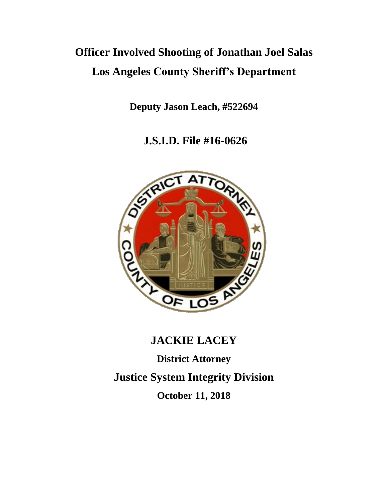# **Officer Involved Shooting of Jonathan Joel Salas Los Angeles County Sheriff's Department**

**Deputy Jason Leach, #522694**

**J.S.I.D. File #16-0626**



# **JACKIE LACEY**

**District Attorney Justice System Integrity Division October 11, 2018**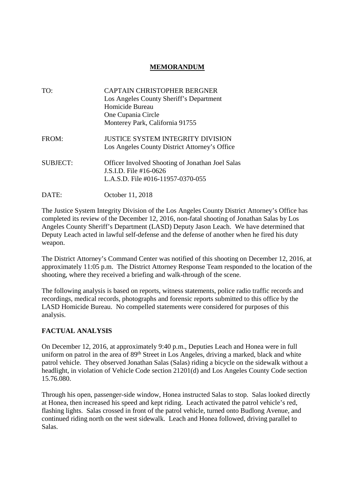## **MEMORANDUM**

| TO:             | CAPTAIN CHRISTOPHER BERGNER<br>Los Angeles County Sheriff's Department<br>Homicide Bureau<br>One Cupania Circle        |  |
|-----------------|------------------------------------------------------------------------------------------------------------------------|--|
|                 | Monterey Park, California 91755                                                                                        |  |
| FROM:           | JUSTICE SYSTEM INTEGRITY DIVISION<br>Los Angeles County District Attorney's Office                                     |  |
| <b>SUBJECT:</b> | <b>Officer Involved Shooting of Jonathan Joel Salas</b><br>J.S.I.D. File #16-0626<br>L.A.S.D. File #016-11957-0370-055 |  |
| DATE:           | October 11, 2018                                                                                                       |  |

The Justice System Integrity Division of the Los Angeles County District Attorney's Office has completed its review of the December 12, 2016, non-fatal shooting of Jonathan Salas by Los Angeles County Sheriff's Department (LASD) Deputy Jason Leach. We have determined that Deputy Leach acted in lawful self-defense and the defense of another when he fired his duty weapon.

The District Attorney's Command Center was notified of this shooting on December 12, 2016, at approximately 11:05 p.m. The District Attorney Response Team responded to the location of the shooting, where they received a briefing and walk-through of the scene.

The following analysis is based on reports, witness statements, police radio traffic records and recordings, medical records, photographs and forensic reports submitted to this office by the LASD Homicide Bureau. No compelled statements were considered for purposes of this analysis.

## **FACTUAL ANALYSIS**

On December 12, 2016, at approximately 9:40 p.m., Deputies Leach and Honea were in full uniform on patrol in the area of 89<sup>th</sup> Street in Los Angeles, driving a marked, black and white patrol vehicle. They observed Jonathan Salas (Salas) riding a bicycle on the sidewalk without a headlight, in violation of Vehicle Code section 21201(d) and Los Angeles County Code section 15.76.080.

Through his open, passenger-side window, Honea instructed Salas to stop. Salas looked directly at Honea, then increased his speed and kept riding. Leach activated the patrol vehicle's red, flashing lights. Salas crossed in front of the patrol vehicle, turned onto Budlong Avenue, and continued riding north on the west sidewalk. Leach and Honea followed, driving parallel to Salas.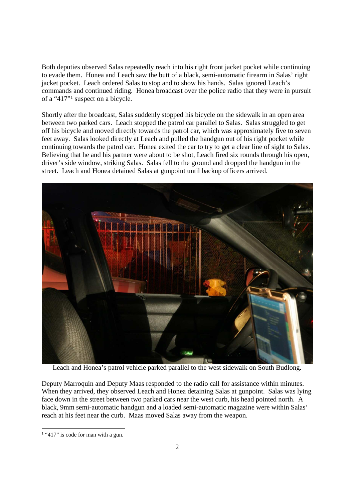Both deputies observed Salas repeatedly reach into his right front jacket pocket while continuing to evade them. Honea and Leach saw the butt of a black, semi-automatic firearm in Salas' right jacket pocket. Leach ordered Salas to stop and to show his hands. Salas ignored Leach's commands and continued riding. Honea broadcast over the police radio that they were in pursuit of a "417"<sup>1</sup> suspect on a bicycle.

Shortly after the broadcast, Salas suddenly stopped his bicycle on the sidewalk in an open area between two parked cars. Leach stopped the patrol car parallel to Salas. Salas struggled to get off his bicycle and moved directly towards the patrol car, which was approximately five to seven feet away. Salas looked directly at Leach and pulled the handgun out of his right pocket while continuing towards the patrol car. Honea exited the car to try to get a clear line of sight to Salas. Believing that he and his partner were about to be shot, Leach fired six rounds through his open, driver's side window, striking Salas. Salas fell to the ground and dropped the handgun in the street. Leach and Honea detained Salas at gunpoint until backup officers arrived.



Leach and Honea's patrol vehicle parked parallel to the west sidewalk on South Budlong.

Deputy Marroquin and Deputy Maas responded to the radio call for assistance within minutes. When they arrived, they observed Leach and Honea detaining Salas at gunpoint. Salas was lying face down in the street between two parked cars near the west curb, his head pointed north. A black, 9mm semi-automatic handgun and a loaded semi-automatic magazine were within Salas' reach at his feet near the curb. Maas moved Salas away from the weapon.

<sup>&</sup>lt;sup>1</sup> "417" is code for man with a gun.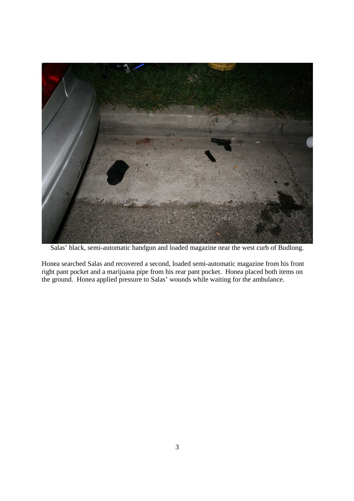

Salas' black, semi-automatic handgun and loaded magazine near the west curb of Budlong.

Honea searched Salas and recovered a second, loaded semi-automatic magazine from his front right pant pocket and a marijuana pipe from his rear pant pocket. Honea placed both items on the ground. Honea applied pressure to Salas' wounds while waiting for the ambulance.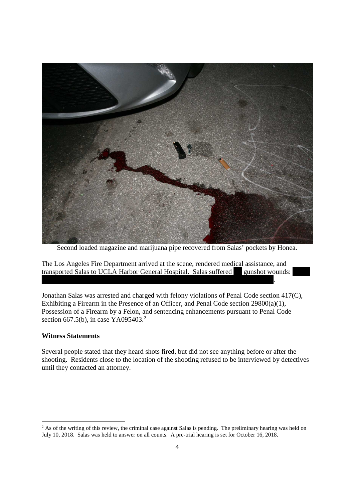

Second loaded magazine and marijuana pipe recovered from Salas' pockets by Honea.

.

The Los Angeles Fire Department arrived at the scene, rendered medical assistance, and transported Salas to UCLA Harbor General Hospital. Salas suffered gunshot wounds:

Jonathan Salas was arrested and charged with felony violations of Penal Code section 417(C), Exhibiting a Firearm in the Presence of an Officer, and Penal Code section 29800(a)(1), Possession of a Firearm by a Felon, and sentencing enhancements pursuant to Penal Code section 667.5(b), in case YA095403.<sup>2</sup>

#### **Witness Statements**

Several people stated that they heard shots fired, but did not see anything before or after the shooting. Residents close to the location of the shooting refused to be interviewed by detectives until they contacted an attorney.

<sup>&</sup>lt;sup>2</sup> As of the writing of this review, the criminal case against Salas is pending. The preliminary hearing was held on July 10, 2018. Salas was held to answer on all counts. A pre-trial hearing is set for October 16, 2018.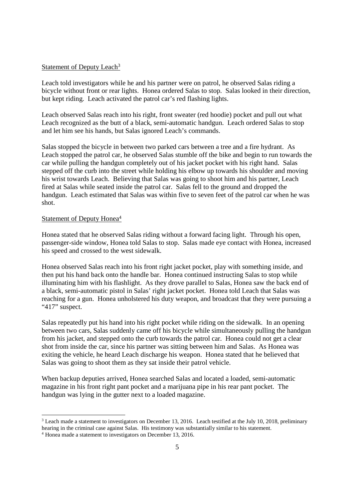#### Statement of Deputy Leach<sup>3</sup>

Leach told investigators while he and his partner were on patrol, he observed Salas riding a bicycle without front or rear lights. Honea ordered Salas to stop. Salas looked in their direction, but kept riding. Leach activated the patrol car's red flashing lights.

Leach observed Salas reach into his right, front sweater (red hoodie) pocket and pull out what Leach recognized as the butt of a black, semi-automatic handgun. Leach ordered Salas to stop and let him see his hands, but Salas ignored Leach's commands.

Salas stopped the bicycle in between two parked cars between a tree and a fire hydrant. As Leach stopped the patrol car, he observed Salas stumble off the bike and begin to run towards the car while pulling the handgun completely out of his jacket pocket with his right hand. Salas stepped off the curb into the street while holding his elbow up towards his shoulder and moving his wrist towards Leach. Believing that Salas was going to shoot him and his partner, Leach fired at Salas while seated inside the patrol car. Salas fell to the ground and dropped the handgun. Leach estimated that Salas was within five to seven feet of the patrol car when he was shot.

#### Statement of Deputy Honea<sup>4</sup>

Honea stated that he observed Salas riding without a forward facing light. Through his open, passenger-side window, Honea told Salas to stop. Salas made eye contact with Honea, increased his speed and crossed to the west sidewalk.

Honea observed Salas reach into his front right jacket pocket, play with something inside, and then put his hand back onto the handle bar. Honea continued instructing Salas to stop while illuminating him with his flashlight. As they drove parallel to Salas, Honea saw the back end of a black, semi-automatic pistol in Salas' right jacket pocket. Honea told Leach that Salas was reaching for a gun. Honea unholstered his duty weapon, and broadcast that they were pursuing a "417" suspect.

Salas repeatedly put his hand into his right pocket while riding on the sidewalk. In an opening between two cars, Salas suddenly came off his bicycle while simultaneously pulling the handgun from his jacket, and stepped onto the curb towards the patrol car. Honea could not get a clear shot from inside the car, since his partner was sitting between him and Salas. As Honea was exiting the vehicle, he heard Leach discharge his weapon. Honea stated that he believed that Salas was going to shoot them as they sat inside their patrol vehicle.

When backup deputies arrived, Honea searched Salas and located a loaded, semi-automatic magazine in his front right pant pocket and a marijuana pipe in his rear pant pocket. The handgun was lying in the gutter next to a loaded magazine.

<sup>&</sup>lt;sup>3</sup> Leach made a statement to investigators on December 13, 2016. Leach testified at the July 10, 2018, preliminary hearing in the criminal case against Salas. His testimony was substantially similar to his statement.

<sup>4</sup> Honea made a statement to investigators on December 13, 2016.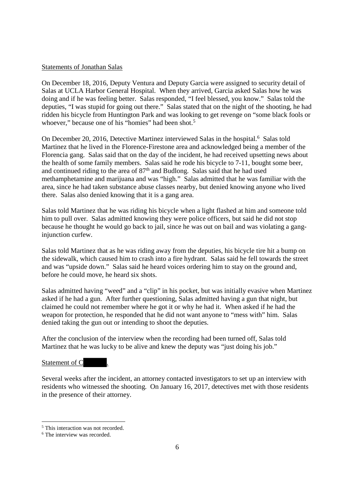#### Statements of Jonathan Salas

On December 18, 2016, Deputy Ventura and Deputy Garcia were assigned to security detail of Salas at UCLA Harbor General Hospital. When they arrived, Garcia asked Salas how he was doing and if he was feeling better. Salas responded, "I feel blessed, you know." Salas told the deputies, "I was stupid for going out there." Salas stated that on the night of the shooting, he had ridden his bicycle from Huntington Park and was looking to get revenge on "some black fools or whoever," because one of his "homies" had been shot.<sup>5</sup>

On December 20, 2016, Detective Martinez interviewed Salas in the hospital.<sup>6</sup> Salas told Martinez that he lived in the Florence-Firestone area and acknowledged being a member of the Florencia gang. Salas said that on the day of the incident, he had received upsetting news about the health of some family members. Salas said he rode his bicycle to 7-11, bought some beer, and continued riding to the area of 87<sup>th</sup> and Budlong. Salas said that he had used methamphetamine and marijuana and was "high." Salas admitted that he was familiar with the area, since he had taken substance abuse classes nearby, but denied knowing anyone who lived there. Salas also denied knowing that it is a gang area.

Salas told Martinez that he was riding his bicycle when a light flashed at him and someone told him to pull over. Salas admitted knowing they were police officers, but said he did not stop because he thought he would go back to jail, since he was out on bail and was violating a ganginjunction curfew.

Salas told Martinez that as he was riding away from the deputies, his bicycle tire hit a bump on the sidewalk, which caused him to crash into a fire hydrant. Salas said he fell towards the street and was "upside down." Salas said he heard voices ordering him to stay on the ground and, before he could move, he heard six shots.

Salas admitted having "weed" and a "clip" in his pocket, but was initially evasive when Martinez asked if he had a gun. After further questioning, Salas admitted having a gun that night, but claimed he could not remember where he got it or why he had it. When asked if he had the weapon for protection, he responded that he did not want anyone to "mess with" him. Salas denied taking the gun out or intending to shoot the deputies.

After the conclusion of the interview when the recording had been turned off, Salas told Martinez that he was lucky to be alive and knew the deputy was "just doing his job."

#### Statement of C

Several weeks after the incident, an attorney contacted investigators to set up an interview with residents who witnessed the shooting. On January 16, 2017, detectives met with those residents in the presence of their attorney.

<sup>&</sup>lt;sup>5</sup> This interaction was not recorded.

<sup>&</sup>lt;sup>6</sup> The interview was recorded.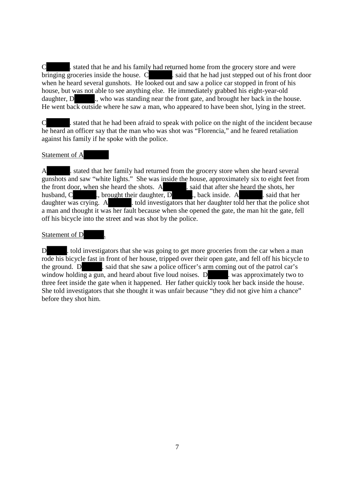C . stated that he and his family had returned home from the grocery store and were bringing groceries inside the house.  $C$  . said that he had just stepped out of his front door when he heard several gunshots. He looked out and saw a police car stopped in front of his house, but was not able to see anything else. He immediately grabbed his eight-year-old daughter, D ., who was standing near the front gate, and brought her back in the house. He went back outside where he saw a man, who appeared to have been shot, lying in the street.

C . stated that he had been afraid to speak with police on the night of the incident because he heard an officer say that the man who was shot was "Florencia," and he feared retaliation against his family if he spoke with the police.

#### Statement of A

A . stated that her family had returned from the grocery store when she heard several gunshots and saw "white lights." She was inside the house, approximately six to eight feet from the front door, when she heard the shots. A  $\overline{a}$  said that after she heard the shots, her husband, C ., brought their daughter, D ., back inside. A . said that her daughter was crying. A . told investigators that her daughter told her that the police shot a man and thought it was her fault because when she opened the gate, the man hit the gate, fell off his bicycle into the street and was shot by the police.

#### Statement of D

D . told investigators that she was going to get more groceries from the car when a man rode his bicycle fast in front of her house, tripped over their open gate, and fell off his bicycle to the ground. D . said that she saw a police officer's arm coming out of the patrol car's window holding a gun, and heard about five loud noises.  $D$  . was approximately two to three feet inside the gate when it happened. Her father quickly took her back inside the house. She told investigators that she thought it was unfair because "they did not give him a chance" before they shot him.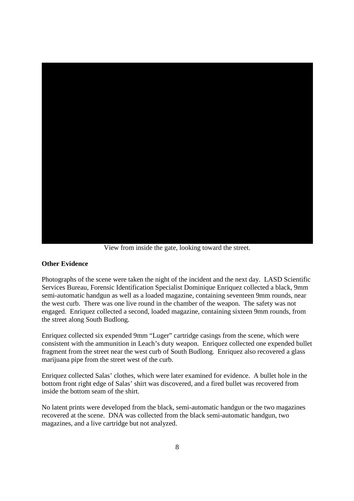

View from inside the gate, looking toward the street.

#### **Other Evidence**

Photographs of the scene were taken the night of the incident and the next day. LASD Scientific Services Bureau, Forensic Identification Specialist Dominique Enriquez collected a black, 9mm semi-automatic handgun as well as a loaded magazine, containing seventeen 9mm rounds, near the west curb. There was one live round in the chamber of the weapon. The safety was not engaged. Enriquez collected a second, loaded magazine, containing sixteen 9mm rounds, from the street along South Budlong.

Enriquez collected six expended 9mm "Luger" cartridge casings from the scene, which were consistent with the ammunition in Leach's duty weapon. Enriquez collected one expended bullet fragment from the street near the west curb of South Budlong. Enriquez also recovered a glass marijuana pipe from the street west of the curb.

Enriquez collected Salas' clothes, which were later examined for evidence. A bullet hole in the bottom front right edge of Salas' shirt was discovered, and a fired bullet was recovered from inside the bottom seam of the shirt.

No latent prints were developed from the black, semi-automatic handgun or the two magazines recovered at the scene. DNA was collected from the black semi-automatic handgun, two magazines, and a live cartridge but not analyzed.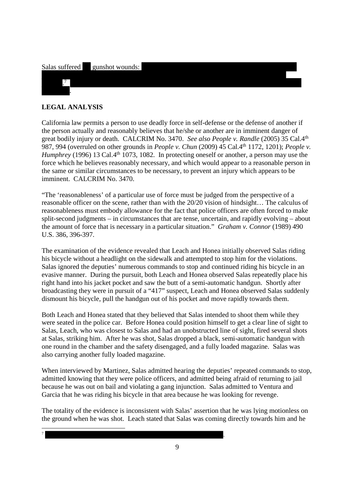# Salas suffered gunshot wounds:

## **LEGAL ANALYSIS**

. 7 .

7

California law permits a person to use deadly force in self-defense or the defense of another if the person actually and reasonably believes that he/she or another are in imminent danger of great bodily injury or death. CALCRIM No. 3470. *See also People v. Randle* (2005) 35 Cal.4th 987, 994 (overruled on other grounds in *People v. Chun* (2009) 45 Cal.4th 1172, 1201); *People v. Humphrey* (1996) 13 Cal.4<sup>th</sup> 1073, 1082. In protecting oneself or another, a person may use the force which he believes reasonably necessary, and which would appear to a reasonable person in the same or similar circumstances to be necessary, to prevent an injury which appears to be imminent. CALCRIM No. 3470.

"The 'reasonableness' of a particular use of force must be judged from the perspective of a reasonable officer on the scene, rather than with the 20/20 vision of hindsight… The calculus of reasonableness must embody allowance for the fact that police officers are often forced to make split-second judgments – in circumstances that are tense, uncertain, and rapidly evolving – about the amount of force that is necessary in a particular situation." *Graham v. Connor* (1989) 490 U.S. 386, 396-397.

The examination of the evidence revealed that Leach and Honea initially observed Salas riding his bicycle without a headlight on the sidewalk and attempted to stop him for the violations. Salas ignored the deputies' numerous commands to stop and continued riding his bicycle in an evasive manner. During the pursuit, both Leach and Honea observed Salas repeatedly place his right hand into his jacket pocket and saw the butt of a semi-automatic handgun. Shortly after broadcasting they were in pursuit of a "417" suspect, Leach and Honea observed Salas suddenly dismount his bicycle, pull the handgun out of his pocket and move rapidly towards them.

Both Leach and Honea stated that they believed that Salas intended to shoot them while they were seated in the police car. Before Honea could position himself to get a clear line of sight to Salas, Leach, who was closest to Salas and had an unobstructed line of sight, fired several shots at Salas, striking him. After he was shot, Salas dropped a black, semi-automatic handgun with one round in the chamber and the safety disengaged, and a fully loaded magazine. Salas was also carrying another fully loaded magazine.

When interviewed by Martinez, Salas admitted hearing the deputies' repeated commands to stop, admitted knowing that they were police officers, and admitted being afraid of returning to jail because he was out on bail and violating a gang injunction. Salas admitted to Ventura and Garcia that he was riding his bicycle in that area because he was looking for revenge.

The totality of the evidence is inconsistent with Salas' assertion that he was lying motionless on the ground when he was shot. Leach stated that Salas was coming directly towards him and he

9

.